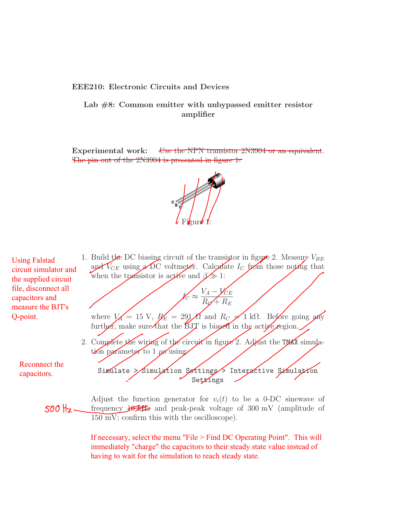## EEE210: Electronic Circuits and Devices

Lab  $#8$ : Common emitter with unbypassed emitter resistor amplifier

Experimental work: Use the NPN transistor 2N3904 or an equivalent. The pin out of the 2N3904 is presented in figure 1.



Using Falstad circuit simulator and the supplied circuit file, disconnect all capacitors and measure the BJT's Q-point.

> Reconnect the capacitors.

1. Build the DC biasing circuit of the transistor in figure 2. Measure  $V_{BE}$ and  $V_{CE}$  using a DC voltmeter. Calculate  $I_C$  from those noting that when the transistor is active and  $\beta \gg 1$ :

> $V_A - V_{CE}$  $R_{\mathscr{A}}+R_{E}$

where  $V_A = 15 \text{ V}$ ,  $R_E = 291 \text{ K}$  and  $R_C \neq 1 \text{ k}\Omega$ . Before going any further, make sure that the BJT is biased in the active region.

 $\mathscr{V}_C\approx$ 

- 2. Complete the wiring of the circuit in figure 2. Adjust the TMAX simulation parameter to  $1 \mu s$  using.
	- Simulate > Simulation Settings > Interactive Simulation Set<del>l</del>ings

Adjust the function generator for  $v_i(t)$  to be a 0-DC sinewave of frequency 10 kHz and peak-peak voltage of 300 mV (amplitude of 150 mV; confirm this with the oscilloscope).

> If necessary, select the menu "File > Find DC Operating Point". This will immediately "charge" the capacitors to their steady state value instead of having to wait for the simulation to reach steady state.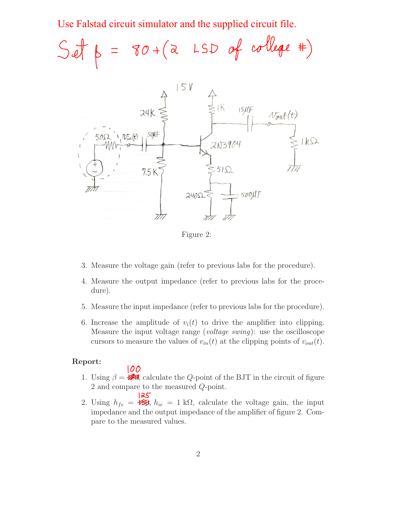Use Falstad circuit simulator and the supplied circuit file.





Figure 2:

- 3. Measure the voltage gain (refer to previous labs for the procedure).
- 4. Measure the output impedance (refer to previous labs for the procedure).
- 5. Measure the input impedance (refer to previous labs for the procedure).
- 6. Increase the amplitude of  $v_i(t)$  to drive the amplifier into clipping. Measure the input voltage range (voltage swing): use the oscilloscope cursors to measure the values of  $v_{in}(t)$  at the clipping points of  $v_{out}(t)$ .

## Report:

100

- 1. Using  $\beta = 280$ , calculate the Q-point of the BJT in the circuit of figure 2 and compare to the measured Q-point.
- 125 2. Using  $h_{fe} = \mathbf{H} \mathbf{B}$ ,  $h_{ie} = 1 \text{ k}\Omega$ , calculate the voltage gain, the input impedance and the output impedance of the amplifier of figure 2. Compare to the measured values.